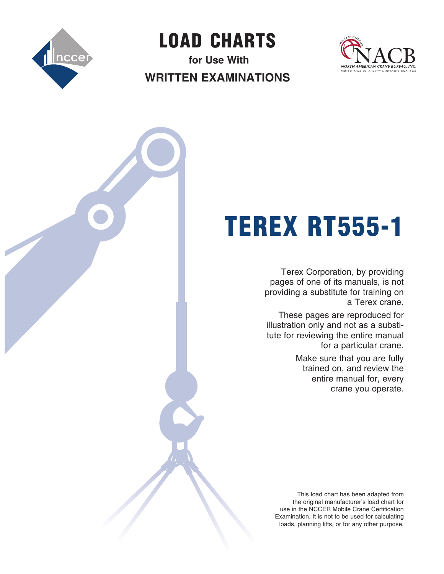

LOAD  CHARTS

**for Use With Written Examinations**



# TEREX RT555-1

Terex Corporation, by providing pages of one of its manuals, is not providing a substitute for training on a Terex crane.

These pages are reproduced for illustration only and not as a substitute for reviewing the entire manual for a particular crane.

> Make sure that you are fully trained on, and review the entire manual for, every crane you operate.

This load chart has been adapted from the original manufacturer's load chart for use in the NCCER Mobile Crane Certification Examination. It is not to be used for calculating loads, planning lifts, or for any other purpose.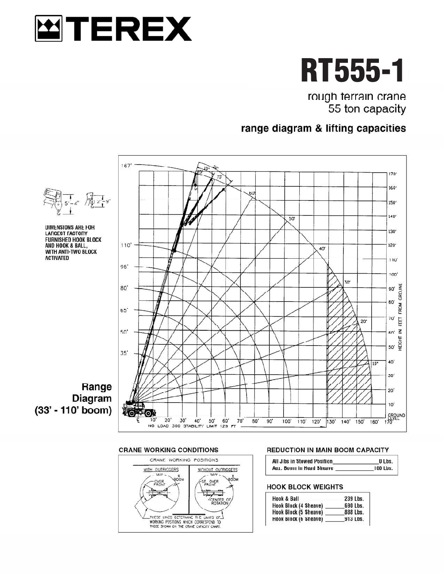



rough terrain crane 55 ton capacity

# range diagram & lifting capacities



## **CRANE WORKING CONDITIONS**



## **REDUCTION IN MAIN BOOM CAPACITY**

| All Jibs in Stowed Position | O Lbs.   |
|-----------------------------|----------|
| Aux. Boom in Head Sheave    | 100 Lbs. |

## **HOOK BLOCK WEIGHTS**

| <b>Hook &amp; Ball</b> | 239 Lbs. |
|------------------------|----------|
| Hook Block (4 Sheave)  | 690 Lbs. |
| Hook Block (5 Sheave)  | 888 Lbs. |
| Hook Block (6 Sheave)  | 913 Lbs. |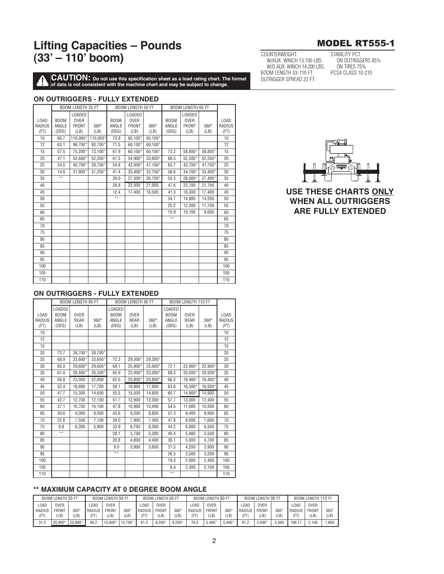**CAUTION:** Do not use this specification sheet as a load rating chart. The format of data is not consistent with the machine chart and may be subject to change.

## ON OUTRIGGERS - FULLY EXTENDED

|        |             | <b>BOOM LENGTH 35 FT</b> |          |                 | <b>BOOM LENGTH 50 FT</b> |         |             | <b>BOOM LENGTH 65 FT</b> |         |        |
|--------|-------------|--------------------------|----------|-----------------|--------------------------|---------|-------------|--------------------------|---------|--------|
|        |             | <b>LOADED</b>            |          |                 | <b>LOADED</b>            |         |             | <b>LOADED</b>            |         |        |
| LOAD   | <b>BOOM</b> | <b>OVER</b>              |          | <b>BOOM</b>     | <b>OVER</b>              |         | <b>BOOM</b> | <b>OVER</b>              |         | LOAD   |
| RADIUS | ANGLE       | <b>FRONT</b>             | 360°     | ANGLE           | <b>FRONT</b>             | 360°    | ANGLE       | <b>FRONT</b>             | 360°    | RADIUS |
| (FT)   | (DEG)       | (LB)                     | (LB)     | (DEG)           | (LB)                     | (LB)    | (DEG)       | (LB)                     | (LB)    | (FT)   |
| 10     | 66.7        | 110.000*                 | 110,000* | 73.9            | 60,100*                  | 60.100* |             |                          |         | 10     |
| 12     | 63.1        | 96.700*                  | 93.700*  | 71.5            | 60,100*                  | 60.100* |             |                          |         | 12     |
| 15     | 57.5        | 75.200*                  | 73.100*  | 67.9            | 60.100*                  | 60.100* | 73.2        | 58.800*                  | 58.800* | 15     |
| 20     | 47.1        | 53.600*                  | 52.300*  | 61.5            | 54.900*                  | 53.600* | 68.5        | 52,200*                  | 52.200* | 20     |
| 25     | 34.5        | 40.700*                  | 39.700*  | 54.8            | 42.000*                  | 41,100* | 63.7        | 42.700*                  | 41,700* | 25     |
| 30     | 14.8        | 31.900*                  | 31.200*  | 47.4            | 33.400*                  | 32,700* | 58.6        | 34.100*                  | 33.400* | 30     |
| 35     | $* *$       |                          |          | 39.0            | 27.300*                  | 26.700* | 53.3        | 28.000*                  | 27.400* | 35     |
| 40     |             |                          |          | 28.8            | 22.000                   | 21.000  | 47.6        | 22.700                   | 21.700  | 40     |
| 45     |             |                          |          | 12.4            | 17,400                   | 16,500  | 41.3        | 18,300                   | 17,400  | 45     |
| 50     |             |                          |          | $\overline{**}$ |                          |         | 34.1        | 14,900                   | 14.200  | 50     |
| 55     |             |                          |          |                 |                          |         | 25.2        | 12,300                   | 11,700  | 55     |
| 60     |             |                          |          |                 |                          |         | 10.9        | 10,100                   | 9.600   | 60     |
| 65     |             |                          |          |                 |                          |         | $* *$       |                          |         | 65     |
| 70     |             |                          |          |                 |                          |         |             |                          |         | 70     |
| 75     |             |                          |          |                 |                          |         |             |                          |         | 75     |
| 80     |             |                          |          |                 |                          |         |             |                          |         | 80     |
| 85     |             |                          |          |                 |                          |         |             |                          |         | 85     |
| 90     |             |                          |          |                 |                          |         |             |                          |         | 90     |
| 95     |             |                          |          |                 |                          |         |             |                          |         | 95     |
| 100    |             |                          |          |                 |                          |         |             |                          |         | 100    |
| 105    |             |                          |          |                 |                          |         |             |                          |         | 105    |
| 110    |             |                          |          |                 |                          |         |             |                          |         | 110    |

## ON OUTRIGGERS - FULLY EXTENDED

|        |                             | <b>BOOM LENGTH 80 FT</b> |             |                             | <b>BOOM LENGTH 95 FT</b> |             |               | <b>BOOM LENGTH 110 FT</b> |             |             |
|--------|-----------------------------|--------------------------|-------------|-----------------------------|--------------------------|-------------|---------------|---------------------------|-------------|-------------|
|        | <b>LOADED</b>               |                          |             | <b>LOADED</b>               |                          |             | <b>LOADED</b> |                           |             |             |
| LOAD   | B <sub>0</sub> <sub>M</sub> | <b>OVER</b>              |             | B <sub>0</sub> <sub>M</sub> | <b>OVER</b>              |             | <b>BOOM</b>   | <b>OVER</b>               |             | <b>LOAD</b> |
| RADIUS | ANGLE                       | <b>REAR</b>              | $360^\circ$ | ANGLE                       | <b>REAR</b>              | $360^\circ$ | ANGLE         | <b>REAR</b>               | $360^\circ$ | RADIUS      |
| (FT)   | (DEG)                       | (LB)                     | (LB)        | (DEG)                       | (LB)                     | (LB)        | (DEG)         | (LB)                      | (LB)        | (FT)        |
| 10     |                             |                          |             |                             |                          |             |               |                           |             | 10          |
| 12     |                             |                          |             |                             |                          |             |               |                           |             | 12          |
| 15     |                             |                          |             |                             |                          |             |               |                           |             | 15          |
| 20     | 72.7                        | 38.700*                  | 38.700*     |                             |                          |             |               |                           |             | 20          |
| 25     | 68.9                        | 33.600*                  | 33,600*     | 72.3                        | 29,300*                  | 29,300*     |               |                           |             | 25          |
| 30     | 65.0                        | 29.600*                  | 29.600*     | 69.1                        | 25.900*                  | 25.900*     | 72.1          | 22.900*                   | 22.900*     | 30          |
| 35     | 61.0                        | 26,500*                  | 26,500*     | 65.9                        | 23,000*                  | 23,000*     | 69.3          | 20,500*                   | 20,500*     | 35          |
| 40     | 56.8                        | 23.000                   | 22.000      | 62.5                        | 20,800*                  | 20,800*     | 66.5          | 18.400*                   | 18,400*     | 40          |
| 45     | 52.4                        | 18,600                   | 17,700      | 59.1                        | 18,800                   | 17,900      | 63.6          | 16,500*                   | 16,500*     | 45          |
| 50     | 47.7                        | 15.300                   | 14.600      | 55.5                        | 15,500                   | 14.800      | 60.7          | 14.900*                   | 14.900      | 50          |
| 55     | 42.7                        | 12,700                   | 12,100      | 51.7                        | 12,900                   | 12,300      | 57.7          | 13,000                    | 12,400      | 55          |
| 60     | 37.1                        | 10.700                   | 10.100      | 47.8                        | 10.900                   | 10.400      | 54.5          | 11,000                    | 10.500      | 60          |
| 65     | 30.6                        | 9.000                    | 8,500       | 43.6                        | 9,200                    | 8.800       | 51.3          | 9.400                     | 8.900       | 65          |
| 70     | 226                         | 7,500                    | 7,100       | 39.0                        | 7.900                    | 7,400       | 47.8          | 8.000                     | 7,600       | 70          |
| 75     | 9.8                         | 6.300                    | 5.900       | 33.9                        | 6.700                    | 6.300       | 44.2          | 6.800                     | 6.500       | 75          |
| 80     | $* *$                       |                          |             | 28.1                        | 5.700                    | 5.300       | 40.4          | 5.900                     | 5.500       | 80          |
| 85     |                             |                          |             | 20.8                        | 4.800                    | 4.400       | 36.1          | 5.000                     | 4.700       | 85          |
| 90     |                             |                          |             | 9.0                         | 3,900                    | 3,600       | 31.5          | 4.200                     | 3.900       | 90          |
| 95     |                             |                          |             | $* *$                       |                          |             | 26.5          | 3.500                     | 3.200       | 95          |
| 100    |                             |                          |             |                             |                          |             | 19.3          | 2.900                     | 2,400       | 100         |
| 105    |                             |                          |             |                             |                          |             | 8.4           | 2.300                     | 2,100       | 105         |
| 110    |                             |                          |             |                             |                          |             | $* *$         |                           |             | 110         |

## \*\* MAXIMUM CAPACITY AT 0 DEGREE BOOM ANGLE

|        | <b>BOOM LENGTH 35 FT</b> |             | <b>BOOM LENGTH 50 FT</b> |              |             | BOOM LENGTH 65 FT |              |          | <b>BOOM LENGTH 80 FT</b> |              |             |        | <b>BOOM LENGTH 95 FT</b> |             | <b>BOOM LENGTH 110 FT</b> |              |             |
|--------|--------------------------|-------------|--------------------------|--------------|-------------|-------------------|--------------|----------|--------------------------|--------------|-------------|--------|--------------------------|-------------|---------------------------|--------------|-------------|
| OAD.   | <b>OVER</b>              |             | 0AD                      | <b>OVER</b>  |             | 0AD               | <b>OVER</b>  |          | 0AD                      | <b>OVER</b>  |             | 0AD    | <b>OVER</b>              |             | 0AD                       | <b>OVER</b>  |             |
| RADIUS | <b>FRONT</b>             | $360^\circ$ | <b>RADIUS</b>            | <b>FRONT</b> | $360^\circ$ | RADIUS            | <b>FRONT</b> | 360°     | RADIUS                   | <b>FRONT</b> | $360^\circ$ | RADIUS | FRONT                    | $360^\circ$ | RADIUS                    | <b>FRONT</b> | $360^\circ$ |
| (FT)   | (LB)                     | (LB)        | ſFΤ                      | LB)          | (LB)        | 'FT               | (LB)         | (LB)     |                          | LB)          | (LB)        | (FT    | (LB)                     | (LB)        | ΈT                        | (LB)         | (LB)        |
| 31.2   | 20,900                   | 20,800*     | 46.2                     | 12.600*      | 12.700*     | 61.2              | $8.200*$     | $8.200*$ | 76.2                     | $5.400*$     | $5.400*$    | 91.2   | $3.500*$                 | 3.300       | 106.                      | 2.100        | 1.800       |



## **USE THESE CHARTS ONLY WHEN ALL OUTRIGGERS ARE FULLY EXTENDED**

## **MODEL RT555-1**

COUNTERWEIGHT: W/AUX. WINCH 13,100 LBS. W/O AUX. WINCH 14,200 LBS. BOOM LENGTH 33-110 FT. OUTRIGGER SPREAD 22 FT

STABILITY PCT. ON OUTRIGGERS 85% ON TIRES 75% PCSA CLASS 10-210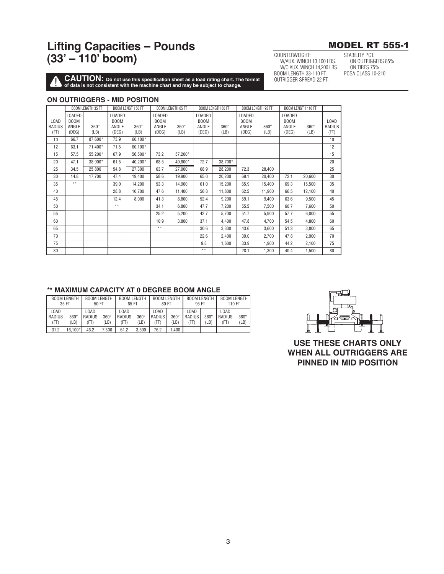

ON OUTRIGGERS 85%

STABILITY PCT.

**ON TIRES 75%** 

PCSA CLASS 10-210

COUNTERWEIGHT:

W/AUX. WINCH 13,100 LBS.

W/O AUX. WINCH 14,200 LBS.

BOOM LENGTH 33-110 FT.

OUTRIGGER SPREAD 22 FT.

**CAUTION:** Do not use this specification sheet as a load rating chart. The format of data is not consistent with the machine chart and may be subject to change.

### ON OUTRIGGERS - MID POSITION

|             |                              | <b>BOOM LENGTH 35 FT</b> |                       | <b>BOOM LENGTH 50 FT</b> |                       | <b>BOOM LENGTH 65 FT</b> |                       | <b>BOOM LENGTH 80 FT</b> |                       | <b>BOOM LENGTH 95 FT</b> |                              | <b>BOOM LENGTH 110 FT</b> |        |
|-------------|------------------------------|--------------------------|-----------------------|--------------------------|-----------------------|--------------------------|-----------------------|--------------------------|-----------------------|--------------------------|------------------------------|---------------------------|--------|
| <b>LOAD</b> | <b>LOADED</b><br><b>BOOM</b> |                          | LOADED<br><b>BOOM</b> |                          | LOADED<br><b>BOOM</b> |                          | LOADED<br><b>BOOM</b> |                          | LOADED<br><b>BOOM</b> |                          | <b>LOADED</b><br><b>BOOM</b> |                           | LOAD   |
| RADIUS      | ANGLE                        | $360^\circ$              | ANGLE                 | $360^\circ$              | ANGLE                 | $360^\circ$              | ANGLE                 | $360^\circ$              | ANGLE                 | $360^\circ$              | ANGLE                        | $360^\circ$               | RADIUS |
| (FT)        | (DEG)                        | (LB)                     | (DEG)                 | (LB)                     | (DEG)                 | (LB)                     | (DEG)                 | (LB)                     | (DEG)                 | (LB)                     | (DEG)                        | (LB)                      | (FT)   |
| 10          | 66.7                         | 87,600*                  | 73.9                  | 60,100*                  |                       |                          |                       |                          |                       |                          |                              |                           | 10     |
| 12          | 63.1                         | 71,400*                  | 71.5                  | 60.100*                  |                       |                          |                       |                          |                       |                          |                              |                           | 12     |
| 15          | 57.5                         | 55,200*                  | 67.9                  | 56,500*                  | 73.2                  | 57,200*                  |                       |                          |                       |                          |                              |                           | 15     |
| 20          | 47.1                         | 38,900*                  | 61.5                  | 40,200*                  | 68.5                  | 40.800*                  | 72.7                  | 38.700*                  |                       |                          |                              |                           | 20     |
| 25          | 34.5                         | 25,800                   | 54.8                  | 27,300                   | 63.7                  | 27,900                   | 68.9                  | 28,200                   | 72.3                  | 28,400                   |                              |                           | 25     |
| 30          | 14.8                         | 17,700                   | 47.4                  | 19,400                   | 58.6                  | 19,900                   | 65.0                  | 20,200                   | 69.1                  | 20,400                   | 72.1                         | 20,600                    | 30     |
| 35          | $* *$                        |                          | 39.0                  | 14,200                   | 53.3                  | 14.900                   | 61.0                  | 15,200                   | 65.9                  | 15.400                   | 69.3                         | 15,500                    | 35     |
| 40          |                              |                          | 28.8                  | 10.700                   | 47.6                  | 11,400                   | 56.8                  | 11,800                   | 62.5                  | 11.900                   | 66.5                         | 12,100                    | 40     |
| 45          |                              |                          | 12.4                  | 8,000                    | 41.3                  | 8,800                    | 52.4                  | 9,200                    | 59.1                  | 9,400                    | 63.6                         | 9,500                     | 45     |
| 50          |                              |                          | $* *$                 |                          | 34.1                  | 6.800                    | 47.7                  | 7,200                    | 55.5                  | 7,500                    | 60.7                         | 7,600                     | 50     |
| 55          |                              |                          |                       |                          | 25.2                  | 5,200                    | 42.7                  | 5,700                    | 51.7                  | 5,900                    | 57.7                         | 6,000                     | 55     |
| 60          |                              |                          |                       |                          | 10.9                  | 3,800                    | 37.1                  | 4.400                    | 47.8                  | 4.700                    | 54.5                         | 4,800                     | 60     |
| 65          |                              |                          |                       |                          | $* *$                 |                          | 30.6                  | 3.300                    | 43.6                  | 3.600                    | 51.3                         | 3.800                     | 65     |
| 70          |                              |                          |                       |                          |                       |                          | 22.6                  | 2,400                    | 39.0                  | 2,700                    | 47.8                         | 2,900                     | 70     |
| 75          |                              |                          |                       |                          |                       |                          | 9.8                   | 1,600                    | 33.9                  | 1,900                    | 44.2                         | 2,100                     | 75     |
| 80          |                              |                          |                       |                          |                       |                          | $* *$                 |                          | 28.1                  | 1,300                    | 40.4                         | 1,500                     | 80     |

## \*\* MAXIMUM CAPACITY AT 0 DEGREE BOOM ANGLE

|                        | <b>BOOM LENGTH</b><br>35 FT | 50 FT                   | <b>BOOM LENGTH</b>  | <b>BOOM LENGTH</b><br>65 FT                   |       | <b>BOOM LENGTH</b><br>80 FT |                     | <b>BOOM LENGTH</b><br>95 FT |                     | <b>BOOM LENGTH</b><br>110 FT |                     |  |
|------------------------|-----------------------------|-------------------------|---------------------|-----------------------------------------------|-------|-----------------------------|---------------------|-----------------------------|---------------------|------------------------------|---------------------|--|
| LOAD<br>RADIUS<br>(FT) | $360^\circ$<br>(LB)         | LOAD.<br>RADIUS<br>(FT) | $360^\circ$<br>(LB) | L0AD<br>RADIUS<br>$360^\circ$<br>(LB)<br>(FT) |       | LOAD<br>RADIUS<br>(FT)      | $360^\circ$<br>(LB) | LOAD<br>RADIUS<br>(FT)      | $360^\circ$<br>(LB) | LOAD<br>RADIUS<br>(FT        | $360^\circ$<br>(LB) |  |
| 31.2                   | $16.100*$                   | 46.2                    | 7.300               | 61.2                                          | 3.500 | 1.400<br>76.2               |                     |                             |                     |                              |                     |  |



**USE THESE CHARTS ONLY WHEN ALL OUTRIGGERS ARE** PINNED IN MID POSITION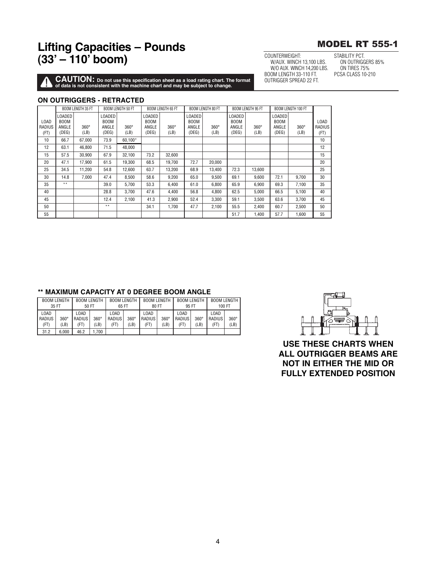**CAUTION:** Do not use this specification sheet as a load rating chart. The format of data is not consistent with the machine chart and may be subject to change.

### **ON OUTRIGGERS - RETRACTED**

|                        |                                         | <b>BOOM LENGTH 35 FT</b> |                                         | <b>BOOM LENGTH 50 FT</b> |                                         | <b>BOOM LENGTH 65 FT</b> |                                         | <b>BOOM LENGTH 80 FT</b> |                                         | <b>BOOM LENGTH 95 FT</b> |                                         | BOOM LENGTH 100 FT  |                        |
|------------------------|-----------------------------------------|--------------------------|-----------------------------------------|--------------------------|-----------------------------------------|--------------------------|-----------------------------------------|--------------------------|-----------------------------------------|--------------------------|-----------------------------------------|---------------------|------------------------|
| LOAD<br>RADIUS<br>(FT) | LOADED<br><b>BOOM</b><br>ANGLE<br>(DEG) | $360^\circ$<br>(LB)      | .0ADED<br><b>BOOM</b><br>ANGLE<br>(DEG) | $360^\circ$<br>(LB)      | LOADED<br><b>BOOM</b><br>ANGLE<br>(DEG) | $360^\circ$<br>(LB)      | LOADED<br><b>BOOM</b><br>ANGLE<br>(DEG) | $360^\circ$<br>(LB)      | LOADED<br><b>BOOM</b><br>ANGLE<br>(DEG) | $360^\circ$<br>(LB)      | LOADED<br><b>BOOM</b><br>ANGLE<br>(DEG) | $360^\circ$<br>(LB) | LOAD<br>RADIUS<br>(FT) |
| 10                     | 66.7                                    | 67.000                   | 73.9                                    | 60.100*                  |                                         |                          |                                         |                          |                                         |                          |                                         |                     | 10                     |
| 12                     | 63.1                                    | 46.800                   | 71.5                                    | 48,000                   |                                         |                          |                                         |                          |                                         |                          |                                         |                     | 12                     |
| 15                     | 57.5                                    | 30.900                   | 67.9                                    | 32.100                   | 73.2                                    | 32.600                   |                                         |                          |                                         |                          |                                         |                     | 15                     |
| 20                     | 47.1                                    | 17.900                   | 61.5                                    | 19.300                   | 68.5                                    | 19.700                   | 72.7                                    | 20.000                   |                                         |                          |                                         |                     | 20                     |
| 25                     | 34.5                                    | 11,200                   | 54.8                                    | 12,600                   | 63.7                                    | 13,200                   | 68.9                                    | 13,400                   | 72.3                                    | 13,600                   |                                         |                     | 25                     |
| 30                     | 14.8                                    | 7.000                    | 47.4                                    | 8.500                    | 58.6                                    | 9.200                    | 65.0                                    | 9.500                    | 69.1                                    | 9.600                    | 72.1                                    | 9.700               | 30                     |
| 35                     | $* *$                                   |                          | 39.0                                    | 5.700                    | 53.3                                    | 6.400                    | 61.0                                    | 6.800                    | 65.9                                    | 6.900                    | 69.3                                    | 7.100               | 35                     |
| 40                     |                                         |                          | 28.8                                    | 3.700                    | 47.6                                    | 4.400                    | 56.8                                    | 4.800                    | 62.5                                    | 5.000                    | 66.5                                    | 5.100               | 40                     |
| 45                     |                                         |                          | 12.4                                    | 2.100                    | 41.3                                    | 2.900                    | 52.4                                    | 3,300                    | 59.1                                    | 3.500                    | 63.6                                    | 3.700               | 45                     |
| 50                     |                                         |                          | $\star\star$                            |                          | 34.1                                    | 1.700                    | 47.7                                    | 2,100                    | 55.5                                    | 2,400                    | 60.7                                    | 2,500               | 50                     |
| 55                     |                                         |                          |                                         |                          |                                         |                          |                                         |                          | 51.7                                    | 1.400                    | 57.7                                    | 1.600               | 55                     |

## \*\* MAXIMUM CAPACITY AT 0 DEGREE BOOM ANGLE

|                        | <b>BOOM LENGTH</b><br>35 FT | <b>BOOM LENGTH</b><br>50 FT |                     | <b>BOOM LENGTH</b><br>65 FT |                     | <b>BOOM LENGTH</b><br>80 FT |                     | <b>BOOM LENGTH</b><br>95 FT |                     | <b>BOOM LENGTH</b><br>100 FT |                     |  |
|------------------------|-----------------------------|-----------------------------|---------------------|-----------------------------|---------------------|-----------------------------|---------------------|-----------------------------|---------------------|------------------------------|---------------------|--|
| LOAD<br>RADIUS<br>(FT) | $360^\circ$<br>(LB)         | LOAD<br>RADIUS<br>(FT)      | $360^\circ$<br>(LB) | LOAD<br>RADIUS<br>(FT)      | $360^\circ$<br>(LB) | LOAD<br>RADIUS<br>(FT)      | $360^\circ$<br>(LB) | LOAD<br>RADIUS<br>(FT)      | $360^\circ$<br>(LB) | LOAD<br>RADIUS<br>'FT)       | $360^\circ$<br>(LB) |  |
| 31.2                   | 6.000                       | 46.2                        | .700                |                             |                     |                             |                     |                             |                     |                              |                     |  |



**USE THESE CHARTS WHEN ALL OUTRIGGER BEAMS ARE NOT IN EITHER THE MID OR FULLY EXTENDED POSITION** 

COUNTERWEIGHT: W/AUX. WINCH 13,100 LBS. W/O AUX. WINCH 14,200 LBS. BOOM LENGTH 33-110 FT. OUTRIGGER SPREAD 22 FT.

STABILITY PCT. ON OUTRIGGERS 85% ON TIRES 75%

PCSA CLASS 10-210

# **MODEL RT 555-1**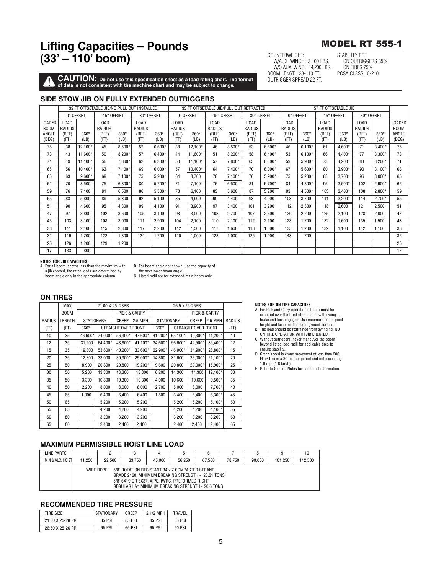## **MODEL RT 555-1**

COUNTERWEIGHT: W/AUX. WINCH 13,100 LBS. W/O AUX. WINCH 14,200 LBS. BOOM LENGTH 33-110 FT. OUTRIGGER SPREAD 22 FT.

STABILITY PCT ON OUTRIGGERS 85% ON TIRES 75% **PCSA CLASS 10-210** 

**CAUTION:** Do not use this specification sheet as a load rating chart. The format of data is not consistent with the machine chart and may be subject to change.

## SIDE STOW JIB ON FULLY EXTENDED OUTRIGGERS

|                                | 32 FT OFFSETABLE JIB/NO PULL OUT INSTALLED<br>0° OFFSET<br>15° OFFSET |             |                         |             |                         |             |                                                  |             | 33 FT OFFSETABLE JIB/PULL OUT RETRACTED |             |                                                  |             |                         |             |                                                  | 57 FT OFFSETABLE JIB |                         |             |                                |
|--------------------------------|-----------------------------------------------------------------------|-------------|-------------------------|-------------|-------------------------|-------------|--------------------------------------------------|-------------|-----------------------------------------|-------------|--------------------------------------------------|-------------|-------------------------|-------------|--------------------------------------------------|----------------------|-------------------------|-------------|--------------------------------|
|                                |                                                                       |             |                         |             | 30° OFFSET              |             | 0° OFFSET                                        |             | 15° OFFSET                              |             | 30° OFFSET                                       |             | 0° OFFSET               |             | 15° OFFSET                                       |                      | 30° OFFSET              |             |                                |
| LOADED<br><b>BOOM</b><br>ANGLE | LOAD<br>RADIUS<br>(REF)                                               | $360^\circ$ | LOAD<br>RADIUS<br>(REF) | $360^\circ$ | LOAD<br>RADIUS<br>(REF) | $360^\circ$ | L <sub>0</sub> A <sub>D</sub><br>RADIUS<br>(REF) | $360^\circ$ | LOAD<br>RADIUS<br>(REF)                 | $360^\circ$ | L <sub>0</sub> A <sub>D</sub><br>RADIUS<br>(REF) | $360^\circ$ | LOAD<br>RADIUS<br>(REF) | $360^\circ$ | L <sub>0</sub> A <sub>D</sub><br>RADIUS<br>(REF) | $360^\circ$          | LOAD<br>RADIUS<br>(REF) | $360^\circ$ | LOADED<br><b>BOOM</b><br>ANGLE |
| (DEG)                          | (FT)                                                                  | (LB)        | (FT)                    | (LB)        | (FT)                    | (LB)        | (FT)                                             | (LB)        | (FT)                                    | (LB)        | (FT)                                             | (LB)        | (FT)                    | (LB)        | (FT)                                             | (LB)                 | (FT)                    | (LB)        | (DEG)                          |
| 75                             | 38                                                                    | 12,100*     | 45                      | 8,500'      | 52                      | $6,600*$    | 38                                               | 12,100*     | 46                                      | $8,500*$    | 53                                               | 6,600*      | 46                      | $6,100*$    | 61                                               | 4,600*               | 71                      | $3,400*$    | 75                             |
| 73                             | 43                                                                    | 11,600*     | 50                      | $8,200*$    | 57                      | $6.400*$    | 44                                               | 11.600*     | 51                                      | $8.200*$    | 58                                               | $6.400*$    | 53                      | $6.100*$    | 66                                               | $4.400*$             | 77                      | $3,300*$    | 73                             |
| 71                             | 49                                                                    | 11.100*     | 56                      | 7.800*      | 62                      | $6.300*$    | 50                                               | 11.100*     | 57                                      | 7.800*      | 63                                               | $6.300*$    | 59                      | 5,900*      | 73                                               | $4.200*$             | 83                      | $3.200*$    | 71                             |
| 68                             | 56                                                                    | 10.400*     | 63                      | $7.400*$    | 69                      | $6.000*$    | 57                                               | 10,400*     | 64                                      | 7.400*      | 70                                               | $6.000*$    | 67                      | $5,600*$    | 80                                               | $3,900*$             | 90                      | $3.100*$    | 68                             |
| 65                             | 63                                                                    | $9.600*$    | 69                      | $7.100*$    | 75                      | 5.900*      | 64                                               | 8.700       | 70                                      | $7.100*$    | 76                                               | $5.900*$    | 75                      | $5.200*$    | 88                                               | $3.700*$             | 96                      | $3.000*$    | 65                             |
| 62                             | 70                                                                    | 8,500       | 75                      | 6,800       | 80                      | 5,700*      | 71                                               | 7.100       | 76                                      | 6,500       | 81                                               | 5,700*      | 84                      | 4,800*      | 95                                               | $3,500*$             | 102                     | $2.900*$    | 62                             |
| 59                             | 76                                                                    | 7.100       | 81                      | 6,500       | 86                      | 5,500*      | 78                                               | 6.100       | 83                                      | 5.600       | 87                                               | 5,200       | 93                      | 4,500*      | 103                                              | $3,400*$             | 108                     | $2,800*$    | 59                             |
| 55                             | 83                                                                    | 5.800       | 89                      | 5,300       | 92                      | 5,100       | 85                                               | 4.900       | 90                                      | 4.400       | 93                                               | 4,000       | 103                     | 3.700       | 111                                              | $3.200*$             | 114                     | $2.700*$    | 55                             |
| 51                             | 90                                                                    | 4.600       | 95                      | 4.300       | 99                      | 4.100       | 91                                               | 3.900       | 97                                      | 3.400       | 101                                              | 3.200       | 112                     | 2,800       | 118                                              | 2,600                | 121                     | 2.500       | 51                             |
| 47                             | 97                                                                    | 3.800       | 102                     | 3.600       | 105                     | 3.400       | 98                                               | 3.000       | 103                                     | 2.700       | 107                                              | 2,600       | 120                     | 2,200       | 125                                              | 2.100                | 128                     | 2.000       | 47                             |
| 43                             | 103                                                                   | 3.100       | 108                     | 3.000       | 111                     | 2,900       | 104                                              | 2.100       | 110                                     | 2.100       | 112                                              | 2.100       | 128                     | 1.700       | 132                                              | 1.600                | 135                     | 1.500       | 43                             |
| 38                             | 111                                                                   | 2,400       | 115                     | 2,300       | 117                     | 2,200       | 112                                              | 1,500       | 117                                     | 1,600       | 118                                              | 1,500       | 135                     | 1,200       | 139                                              | 1,100                | 142                     | 1.100       | 38                             |
| 32                             | 119                                                                   | 1.700       | 122                     | 1.800       | 124                     | 1.700       | 120                                              | 1.000       | 123                                     | 1,000       | 125                                              | 1.000       | 143                     | 700         |                                                  |                      |                         |             | 32                             |
| 25                             | 126                                                                   | ,200        | 129                     | 1,200       |                         |             |                                                  |             |                                         |             |                                                  |             |                         |             |                                                  |                      |                         |             | 25                             |
| 17                             | 133                                                                   | 800         |                         |             |                         |             |                                                  |             |                                         |             |                                                  |             |                         |             |                                                  |                      |                         |             | 17                             |

#### NOTES FOR JIR CAPACITIES

A. For all boom lengths less than the maximum with a jib erected, the rated loads are determined by<br>boom angle only in the appropriate column.

B. For boom angle not shown, use the capacity of

the next lower boom angle.<br>C. Listed radii are for extended main boom only.

# **ON TIRES**

|        | <b>MAX</b>  |             | 21:00 X 25 28PR   |                     |              |             |                   |                     |              |        |
|--------|-------------|-------------|-------------------|---------------------|--------------|-------------|-------------------|---------------------|--------------|--------|
|        | <b>BOOM</b> |             |                   |                     | PICK & CARRY |             |                   |                     | PICK & CARRY |        |
| RADIUS | LENGTH      |             | <b>STATIONARY</b> | CREEP               | 2.5 MPH      |             | <b>STATIONARY</b> | CREEP               | 2.5 MPH      | RADIUS |
| (FT)   | (FT)        | $360^\circ$ |                   | STRAIGHT OVER FRONT |              | $360^\circ$ |                   | STRAIGHT OVER FRONT |              | (FT)   |
| 10     | 35          | 46,600*     | 74,000*           | 56,300*             | 47,600*      | 41,200*     | 65,100*           | 49.300*             | 41,200*      | 10     |
| 12     | 35          | 31,200      | 64.400*           | 48,800*             | 41,100*      | 34.600*     | 56,600*           | 42,500*             | 35,400*      | 12     |
| 15     | 35          | 19,800      | 53,600*           | 40,200*             | 33,600*      | 22,900*     | 46,900*           | 34.900*             | 28.800*      | 15     |
| 20     | 35          | 12,800      | 33,000            | 30,300*             | 25,000*      | 14,800      | 31,600            | 26,000*             | 21,100*      | 20     |
| 25     | 50          | 8,900       | 20,800            | 20,800              | 19,200*      | 9,600       | 20,800            | 20,000*             | 15.900*      | 25     |
| 30     | 50          | 5.200       | 13,300            | 13,300              | 13,300       | 6,200       | 14,300            | 14,300              | 12,100*      | 30     |
| 35     | 50          | 3,300       | 10,300            | 10,300              | 10,300       | 4,000       | 10,600            | 10,600              | $9,500*$     | 35     |
| 40     | 50          | 2,200       | 8,000             | 8,000               | 8,000        | 2,700       | 8,000             | 8,000               | 7,700*       | 40     |
| 45     | 65          | 1.300       | 6,400             | 6,400               | 6,400        | 1,800       | 6,400             | 6,400               | $6.300*$     | 45     |
| 50     | 65          |             | 5,200             | 5,200               | 5,200        |             | 5,200             | 5,200               | $5,100*$     | 50     |
| 55     | 65          |             | 4,200             | 4,200               | 4,200        |             | 4.200             | 4,200               | 4,100*       | 55     |
| 60     | 80          |             | 3,200             | 3,200               | 3,200        |             | 3,200             | 3,200               | 3,200        | 60     |
| 65     | 80          |             | 2,400             | 2,400               | 2,400        |             | 2,400             | 2,400               | 2,400        | 65     |

#### **NOTES FOR ON TIRE CAPACITIES**

- A. For Pick and Carry operations, boom must be<br>centered over the front of the crane with swing brake and lock engaged. Use minimum boom point height and keep load close to ground surface.<br>B. The load should be restrained from swinging. NO
- ON TIRE OPERATION WITH JIB ERECTED.
- C. Without outriggers, never maneuver the boom<br>beyond listed load radii for applicable tires to ensure stability.<br>D. Creep speed is crane movement of less than 200
- Ft. (61m) in a 30 minute period and not exceeding<br>1.0 mph(1.6 km/h).
- E. Refer to General Notes for additional information.

## **MAXIMUM PERMISSIBLE HOIST LINE LOAD**

| LINE PARTS       |        |        |        | л                                                                                                                                                                                                                        |        |        |        |        |         | 10      |
|------------------|--------|--------|--------|--------------------------------------------------------------------------------------------------------------------------------------------------------------------------------------------------------------------------|--------|--------|--------|--------|---------|---------|
| MIN & AUX. HOIST | 11.250 | 22,500 | 33.750 | 45.000                                                                                                                                                                                                                   | 56.250 | 67.500 | 78.750 | 90.000 | 101.250 | 112.500 |
|                  |        |        |        | WIRE ROPE: 5/8" ROTATION RESISTANT 34 x 7 COMPACTED STRAND.<br>GRADE 2160. MINIMUM BREAKING STRENGTH - 28.21 TONS<br>5/8" 6X19 OR 6X37, XIPS, IWRC, PREFORMED RIGHT<br>REGULAR LAY MINIMUM BREAKING STRENGTH - 20.6 TONS |        |        |        |        |         |         |

## **RECOMMENDED TIRE PRESSURE**

| TIRE SIZE               | I STATIONARY | CREEP  | 2 1/2 MPH | TRAVEL |
|-------------------------|--------------|--------|-----------|--------|
| $21:00 \times 25-28$ PR | 85 PSI       | 85 PSI | 85 PSI    | 65 PSI |
| 26:50 X 25-26 PR        | 65 PSI       | 65 PSI | 65 PSI    | 50 PSI |